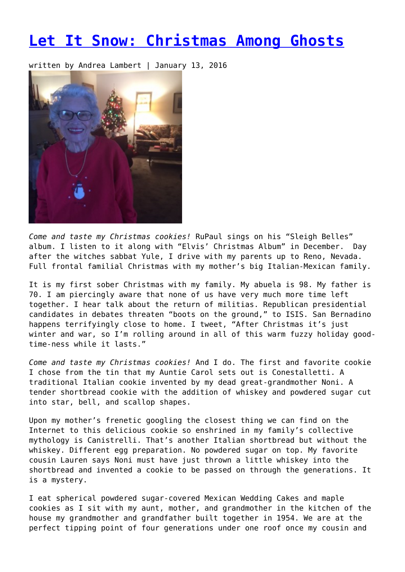## **[Let It Snow: Christmas Among Ghosts](https://entropymag.org/let-it-snow-christmas-among-ghosts/)**

written by Andrea Lambert | January 13, 2016



*Come and taste my Christmas cookies!* RuPaul sings on his "Sleigh Belles" album. I listen to it along with "Elvis' Christmas Album" in December. Day after the witches sabbat Yule, I drive with my parents up to Reno, Nevada. Full frontal familial Christmas with my mother's big Italian-Mexican family.

It is my first sober Christmas with my family. My abuela is 98. My father is 70. I am piercingly aware that none of us have very much more time left together. I hear talk about the return of militias. Republican presidential candidates in debates threaten "boots on the ground," to ISIS. San Bernadino happens terrifyingly close to home. I tweet, "After Christmas it's just winter and war, so I'm rolling around in all of this warm fuzzy holiday goodtime-ness while it lasts."

*Come and taste my Christmas cookies!* And I do. The first and favorite cookie I chose from the tin that my Auntie Carol sets out is Conestalletti. A traditional Italian cookie invented by my dead great-grandmother Noni. A tender shortbread cookie with the addition of whiskey and powdered sugar cut into star, bell, and scallop shapes.

Upon my mother's frenetic googling the closest thing we can find on the Internet to this delicious cookie so enshrined in my family's collective mythology is Canistrelli. That's another Italian shortbread but without the whiskey. Different egg preparation. No powdered sugar on top. My favorite cousin Lauren says Noni must have just thrown a little whiskey into the shortbread and invented a cookie to be passed on through the generations. It is a mystery.

I eat spherical powdered sugar-covered Mexican Wedding Cakes and maple cookies as I sit with my aunt, mother, and grandmother in the kitchen of the house my grandmother and grandfather built together in 1954. We are at the perfect tipping point of four generations under one roof once my cousin and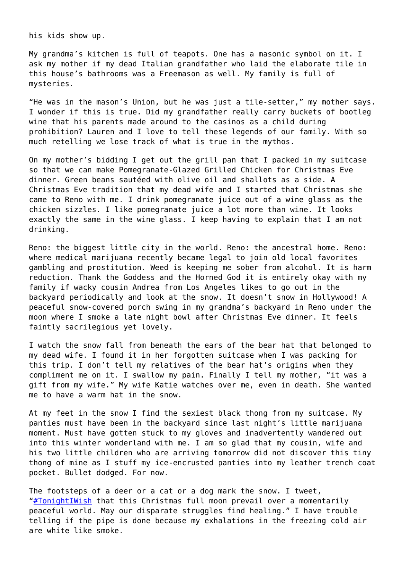his kids show up.

My grandma's kitchen is full of teapots. One has a masonic symbol on it. I ask my mother if my dead Italian grandfather who laid the elaborate tile in this house's bathrooms was a Freemason as well. My family is full of mysteries.

"He was in the mason's Union, but he was just a tile-setter," my mother says. I wonder if this is true. Did my grandfather really carry buckets of bootleg wine that his parents made around to the casinos as a child during prohibition? Lauren and I love to tell these legends of our family. With so much retelling we lose track of what is true in the mythos.

On my mother's bidding I get out the grill pan that I packed in my suitcase so that we can make Pomegranate-Glazed Grilled Chicken for Christmas Eve dinner. Green beans sautéed with olive oil and shallots as a side. A Christmas Eve tradition that my dead wife and I started that Christmas she came to Reno with me. I drink pomegranate juice out of a wine glass as the chicken sizzles. I like pomegranate juice a lot more than wine. It looks exactly the same in the wine glass. I keep having to explain that I am not drinking.

Reno: the biggest little city in the world. Reno: the ancestral home. Reno: where medical marijuana recently became legal to join old local favorites gambling and prostitution. Weed is keeping me sober from alcohol. It is harm reduction. Thank the Goddess and the Horned God it is entirely okay with my family if wacky cousin Andrea from Los Angeles likes to go out in the backyard periodically and look at the snow. It doesn't snow in Hollywood! A peaceful snow-covered porch swing in my grandma's backyard in Reno under the moon where I smoke a late night bowl after Christmas Eve dinner. It feels faintly sacrilegious yet lovely.

I watch the snow fall from beneath the ears of the bear hat that belonged to my dead wife. I found it in her forgotten suitcase when I was packing for this trip. I don't tell my relatives of the bear hat's origins when they compliment me on it. I swallow my pain. Finally I tell my mother, "it was a gift from my wife." My wife Katie watches over me, even in death. She wanted me to have a warm hat in the snow.

At my feet in the snow I find the sexiest black thong from my suitcase. My panties must have been in the backyard since last night's little marijuana moment. Must have gotten stuck to my gloves and inadvertently wandered out into this winter wonderland with me. I am so glad that my cousin, wife and his two little children who are arriving tomorrow did not discover this tiny thong of mine as I stuff my ice-encrusted panties into my leather trench coat pocket. Bullet dodged. For now.

The footsteps of a deer or a cat or a dog mark the snow. I tweet, ["#TonightIWish](https://twitter.com/hashtag/TonightIWish?src=hash) that this Christmas full moon prevail over a momentarily peaceful world. May our disparate struggles find healing." I have trouble telling if the pipe is done because my exhalations in the freezing cold air are white like smoke.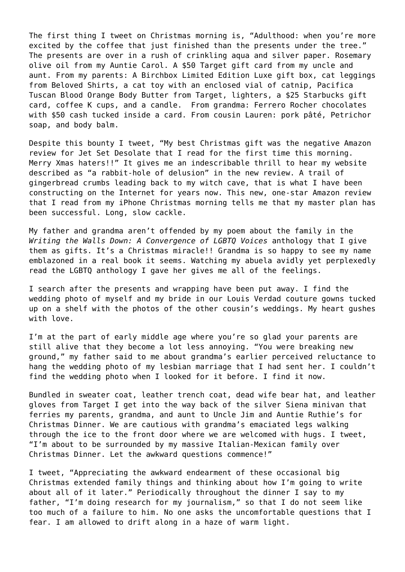The first thing I tweet on Christmas morning is, "Adulthood: when you're more excited by the coffee that just finished than the presents under the tree." The presents are over in a rush of crinkling aqua and silver paper. Rosemary olive oil from my Auntie Carol. A \$50 Target gift card from my uncle and aunt. From my parents: A Birchbox Limited Edition Luxe gift box, cat leggings from Beloved Shirts, a cat toy with an enclosed vial of catnip, Pacifica Tuscan Blood Orange Body Butter from Target, lighters, a \$25 Starbucks gift card, coffee K cups, and a candle. From grandma: Ferrero Rocher chocolates with \$50 cash tucked inside a card. From cousin Lauren: pork pâté, Petrichor soap, and body balm.

Despite this bounty I tweet, "My best Christmas gift was the negative Amazon review for Jet Set Desolate that I read for the first time this morning. Merry Xmas haters!!" It gives me an indescribable thrill to hear my website described as "a rabbit-hole of delusion" in the new review. A trail of gingerbread crumbs leading back to my witch cave, that is what I have been constructing on the Internet for years now. This new, one-star Amazon review that I read from my iPhone Christmas morning tells me that my master plan has been successful. Long, slow cackle.

My father and grandma aren't offended by my poem about the family in the *Writing the Walls Down: A Convergence of LGBTQ Voices* anthology that I give them as gifts. It's a Christmas miracle!! Grandma is so happy to see my name emblazoned in a real book it seems. Watching my abuela avidly yet perplexedly read the LGBTQ anthology I gave her gives me all of the feelings.

I search after the presents and wrapping have been put away. I find the wedding photo of myself and my bride in our Louis Verdad couture gowns tucked up on a shelf with the photos of the other cousin's weddings. My heart gushes with love.

I'm at the part of early middle age where you're so glad your parents are still alive that they become a lot less annoying. "You were breaking new ground," my father said to me about grandma's earlier perceived reluctance to hang the wedding photo of my lesbian marriage that I had sent her. I couldn't find the wedding photo when I looked for it before. I find it now.

Bundled in sweater coat, leather trench coat, dead wife bear hat, and leather gloves from Target I get into the way back of the silver Siena minivan that ferries my parents, grandma, and aunt to Uncle Jim and Auntie Ruthie's for Christmas Dinner. We are cautious with grandma's emaciated legs walking through the ice to the front door where we are welcomed with hugs. I tweet, "I'm about to be surrounded by my massive Italian-Mexican family over Christmas Dinner. Let the awkward questions commence!"

I tweet, "Appreciating the awkward endearment of these occasional big Christmas extended family things and thinking about how I'm going to write about all of it later." Periodically throughout the dinner I say to my father, "I'm doing research for my journalism," so that I do not seem like too much of a failure to him. No one asks the uncomfortable questions that I fear. I am allowed to drift along in a haze of warm light.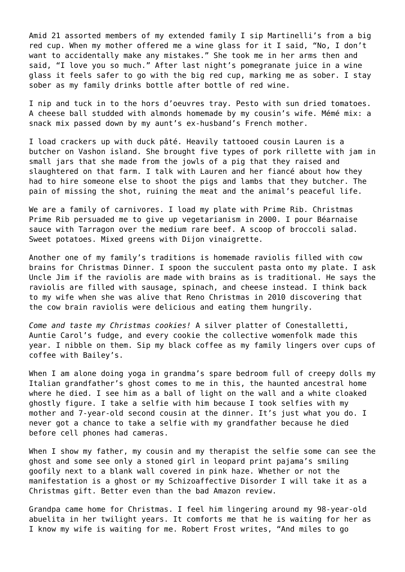Amid 21 assorted members of my extended family I sip Martinelli's from a big red cup. When my mother offered me a wine glass for it I said, "No, I don't want to accidentally make any mistakes." She took me in her arms then and said, "I love you so much." After last night's pomegranate juice in a wine glass it feels safer to go with the big red cup, marking me as sober. I stay sober as my family drinks bottle after bottle of red wine.

I nip and tuck in to the hors d'oeuvres tray. Pesto with sun dried tomatoes. A cheese ball studded with almonds homemade by my cousin's wife. Mémé mix: a snack mix passed down by my aunt's ex-husband's French mother.

I load crackers up with duck pâté. Heavily tattooed cousin Lauren is a butcher on Vashon island. She brought five types of pork rillette with jam in small jars that she made from the jowls of a pig that they raised and slaughtered on that farm. I talk with Lauren and her fiancé about how they had to hire someone else to shoot the pigs and lambs that they butcher. The pain of missing the shot, ruining the meat and the animal's peaceful life.

We are a family of carnivores. I load my plate with Prime Rib. Christmas Prime Rib persuaded me to give up vegetarianism in 2000. I pour Béarnaise sauce with Tarragon over the medium rare beef. A scoop of broccoli salad. Sweet potatoes. Mixed greens with Dijon vinaigrette.

Another one of my family's traditions is homemade raviolis filled with cow brains for Christmas Dinner. I spoon the succulent pasta onto my plate. I ask Uncle Jim if the raviolis are made with brains as is traditional. He says the raviolis are filled with sausage, spinach, and cheese instead. I think back to my wife when she was alive that Reno Christmas in 2010 discovering that the cow brain raviolis were delicious and eating them hungrily.

*Come and taste my Christmas cookies!* A silver platter of Conestalletti, Auntie Carol's fudge, and every cookie the collective womenfolk made this year. I nibble on them. Sip my black coffee as my family lingers over cups of coffee with Bailey's.

When I am alone doing yoga in grandma's spare bedroom full of creepy dolls my Italian grandfather's ghost comes to me in this, the haunted ancestral home where he died. I see him as a ball of light on the wall and a white cloaked ghostly figure. I take a selfie with him because I took selfies with my mother and 7-year-old second cousin at the dinner. It's just what you do. I never got a chance to take a selfie with my grandfather because he died before cell phones had cameras.

When I show my father, my cousin and my therapist the selfie some can see the ghost and some see only a stoned girl in leopard print pajama's smiling goofily next to a blank wall covered in pink haze. Whether or not the manifestation is a ghost or my Schizoaffective Disorder I will take it as a Christmas gift. Better even than the bad Amazon review.

Grandpa came home for Christmas. I feel him lingering around my 98-year-old abuelita in her twilight years. It comforts me that he is waiting for her as I know my wife is waiting for me. Robert Frost writes, "And miles to go